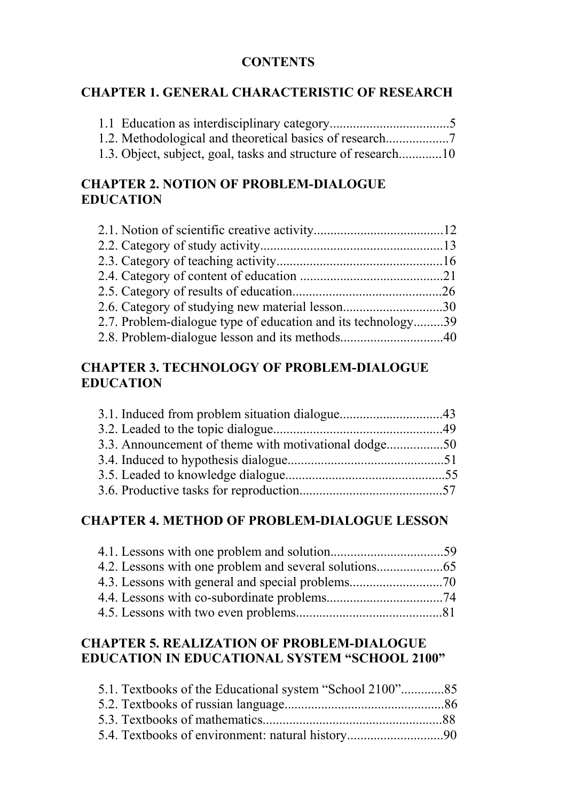#### **CONTENTS**

### **CHAPTER 1. GENERAL CHARACTERISTIC OF RESEARCH**

| 1.3. Object, subject, goal, tasks and structure of research10 |  |
|---------------------------------------------------------------|--|

# **CHAPTER 2. NOTION OF PROBLEM-DIALOGUE EDUCATION**

| 2.6. Category of studying new material lesson30              |  |
|--------------------------------------------------------------|--|
| 2.7. Problem-dialogue type of education and its technology39 |  |
|                                                              |  |

### **CHAPTER 3. TECHNOLOGY OF PROBLEM-DIALOGUE EDUCATION**

| 3.3. Announcement of theme with motivational dodge50 |  |
|------------------------------------------------------|--|
|                                                      |  |
|                                                      |  |
|                                                      |  |

#### **CHAPTER 4. METHOD OF PROBLEM-DIALOGUE LESSON**

## **CHAPTER 5. REALIZATION OF PROBLEM-DIALOGUE EDUCATION IN EDUCATIONAL SYSTEM "SCHOOL 2100"**